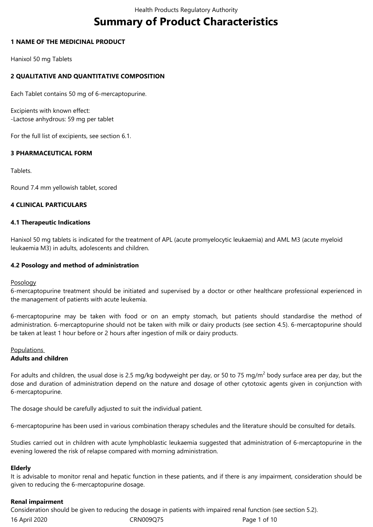# **Summary of Product Characteristics**

# **1 NAME OF THE MEDICINAL PRODUCT**

Hanixol 50 mg Tablets

# **2 QUALITATIVE AND QUANTITATIVE COMPOSITION**

Each Tablet contains 50 mg of 6-mercaptopurine.

Excipients with known effect: -Lactose anhydrous: 59 mg per tablet

For the full list of excipients, see section 6.1.

# **3 PHARMACEUTICAL FORM**

Tablets.

Round 7.4 mm yellowish tablet, scored

# **4 CLINICAL PARTICULARS**

# **4.1 Therapeutic Indications**

Hanixol 50 mg tablets is indicated for the treatment of APL (acute promyelocytic leukaemia) and AML M3 (acute myeloid leukaemia M3) in adults, adolescents and children.

### **4.2 Posology and method of administration**

#### Posology

6-mercaptopurine treatment should be initiated and supervised by a doctor or other healthcare professional experienced in the management of patients with acute leukemia.

6-mercaptopurine may be taken with food or on an empty stomach, but patients should standardise the method of administration. 6-mercaptopurine should not be taken with milk or dairy products (see section 4.5). 6-mercaptopurine should be taken at least 1 hour before or 2 hours after ingestion of milk or dairy products.

# Populations

# **Adults and children**

For adults and children, the usual dose is 2.5 mg/kg bodyweight per day, or 50 to 75 mg/m<sup>2</sup> body surface area per day, but the dose and duration of administration depend on the nature and dosage of other cytotoxic agents given in conjunction with 6-mercaptopurine.

The dosage should be carefully adjusted to suit the individual patient.

6-mercaptopurine has been used in various combination therapy schedules and the literature should be consulted for details.

Studies carried out in children with acute lymphoblastic leukaemia suggested that administration of 6-mercaptopurine in the evening lowered the risk of relapse compared with morning administration.

#### **Elderly**

It is advisable to monitor renal and hepatic function in these patients, and if there is any impairment, consideration should be given to reducing the 6-mercaptopurine dosage.

#### **Renal impairment**

16 April 2020 CRN009Q75 Page 1 of 10 Consideration should be given to reducing the dosage in patients with impaired renal function (see section 5.2).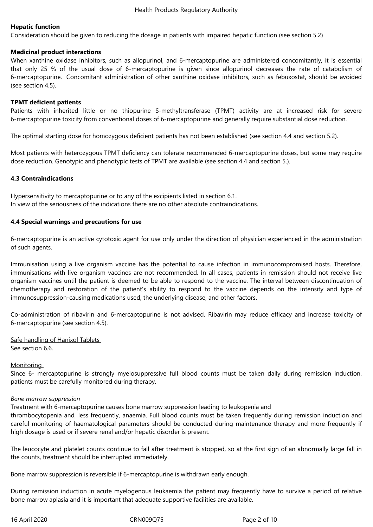# **Hepatic function**

Consideration should be given to reducing the dosage in patients with impaired hepatic function (see section 5.2)

#### **Medicinal product interactions**

When xanthine oxidase inhibitors, such as allopurinol, and 6-mercaptopurine are administered concomitantly, it is essential that only 25 % of the usual dose of 6-mercaptopurine is given since allopurinol decreases the rate of catabolism of 6-mercaptopurine. Concomitant administration of other xanthine oxidase inhibitors, such as febuxostat, should be avoided (see section 4.5).

### **TPMT deficient patients**

Patients with inherited little or no thiopurine S-methyltransferase (TPMT) activity are at increased risk for severe 6-mercaptopurine toxicity from conventional doses of 6-mercaptopurine and generally require substantial dose reduction.

The optimal starting dose for homozygous deficient patients has not been established (see section 4.4 and section 5.2).

Most patients with heterozygous TPMT deficiency can tolerate recommended 6-mercaptopurine doses, but some may require dose reduction. Genotypic and phenotypic tests of TPMT are available (see section 4.4 and section 5.).

#### **4.3 Contraindications**

Hypersensitivity to mercaptopurine or to any of the excipients listed in section 6.1. In view of the seriousness of the indications there are no other absolute contraindications.

#### **4.4 Special warnings and precautions for use**

6-mercaptopurine is an active cytotoxic agent for use only under the direction of physician experienced in the administration of such agents.

Immunisation using a live organism vaccine has the potential to cause infection in immunocompromised hosts. Therefore, immunisations with live organism vaccines are not recommended. In all cases, patients in remission should not receive live organism vaccines until the patient is deemed to be able to respond to the vaccine. The interval between discontinuation of chemotherapy and restoration of the patient's ability to respond to the vaccine depends on the intensity and type of immunosuppression-causing medications used, the underlying disease, and other factors.

Co-administration of ribavirin and 6-mercaptopurine is not advised. Ribavirin may reduce efficacy and increase toxicity of 6-mercaptopurine (see section 4.5).

Safe handling of Hanixol Tablets See section 6.6.

#### **Monitoring**

Since 6- mercaptopurine is strongly myelosuppressive full blood counts must be taken daily during remission induction. patients must be carefully monitored during therapy.

#### *Bone marrow suppression*

Treatment with 6-mercaptopurine causes bone marrow suppression leading to leukopenia and

thrombocytopenia and, less frequently, anaemia. Full blood counts must be taken frequently during remission induction and careful monitoring of haematological parameters should be conducted during maintenance therapy and more frequently if high dosage is used or if severe renal and/or hepatic disorder is present.

The leucocyte and platelet counts continue to fall after treatment is stopped, so at the first sign of an abnormally large fall in the counts, treatment should be interrupted immediately.

Bone marrow suppression is reversible if 6-mercaptopurine is withdrawn early enough.

During remission induction in acute myelogenous leukaemia the patient may frequently have to survive a period of relative bone marrow aplasia and it is important that adequate supportive facilities are available.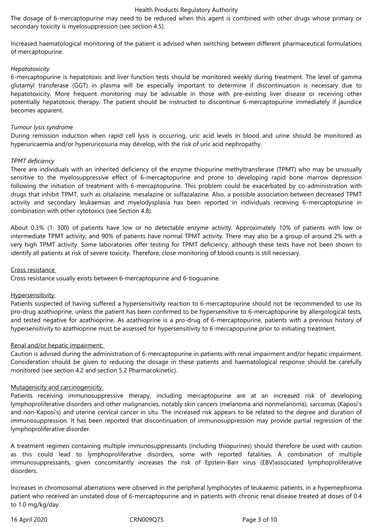#### Health Products Regulatory Authority

The dosage of 6-mercaptopurine may need to be reduced when this agent is combined with other drugs whose primary or secondary toxicity is myelosuppression (see section 4.5).

Increased haematological monitoring of the patient is advised when switching between different pharmaceutical formulations of mercaptopurine.

#### *Hepatotoxicity*

6-mercaptopurine is hepatotoxic and liver function tests should be monitored weekly during treatment. The level of gamma glutamyl transferase (GGT) in plasma will be especially important to determine if discontinuation is necessary due to hepatotoxicity. More frequent monitoring may be advisable in those with pre-existing liver disease or receiving other potentially hepatotoxic therapy. The patient should be instructed to discontinue 6-mercaptopurine immediately if jaundice becomes apparent.

#### *Tumour lysis syndrome*

During remission induction when rapid cell lysis is occurring, uric acid levels in blood and urine should be monitored as hyperuricaemia and/or hyperuricosuria may develop, with the risk of uric acid nephropathy.

#### *TPMT deficiency*

There are individuals with an inherited deficiency of the enzyme thiopurine methyltransferase (TPMT) who may be unusually sensitive to the myelosuppressive effect of 6-mercaptopurine and prone to developing rapid bone marrow depression following the initiation of treatment with 6-mercaptopurine. This problem could be exacerbated by co-administration with drugs that inhibit TPMT, such as olsalazine, mesalazine or sulfazalazine. Also, a possible association between decreased TPMT activity and secondary leukaemias and myelodysplasia has been reported in individuals receiving 6–mercaptopurine in combination with other cytotoxics (see Section 4.8).

About 0.3% (1: 300) of patients have low or no detectable enzyme activity. Approximately 10% of patients with low or intermediate TPMT activity, and 90% of patients have normal TPMT activity. There may also be a group of around 2% with a very high TPMT activity. Some laboratories offer testing for TPMT deficiency, although these tests have not been shown to identify all patients at risk of severe toxicity. Therefore, close monitoring of blood counts is still necessary.

#### Cross resistance

Cross resistance usually exists between 6-mercaptopurine and 6-tioguanine.

#### **Hypersensitivity**

Patients suspected of having suffered a hypersensitivity reaction to 6-mercaptopurine should not be recommended to use its pro-drug azathioprine, unless the patient has been confirmed to be hypersensitive to 6-mercaptopurine by allergological tests, and tested negative for azathioprine. As azathioprine is a pro-drug of 6-mercaptopurine, patients with a previous history of hypersensitivity to azathioprine must be assessed for hypersensitivity to 6-mercapopurine prior to initiating treatment.

#### Renal and/or hepatic impairment:

Caution is advised during the administration of 6-mercaptopurine in patients with renal impairment and/or hepatic impairment. Consideration should be given to reducing the dosage in these patients and haematological response should be carefully monitored (see section 4.2 and section 5.2 Pharmacokinetic).

#### Mutagenicity and carcinogenicity

Patients receiving immunosuppressive therapy, including mercaptopurine are at an increased risk of developing lymphoproliferative disorders and other malignancies, notably skin cancers (melanoma and nonmelanoma), sarcomas (Kaposi's and non-Kaposi's) and uterine cervical cancer in situ. The increased risk appears to be related to the degree and duration of immunosuppression. It has been reported that discontinuation of immunosuppression may provide partial regression of the lymphoproliferative disorder.

A treatment regimen containing multiple immunosuppressants (including thiopurines) should therefore be used with caution as this could lead to lymphoproliferative disorders, some with reported fatalities. A combination of multiple immunosuppressants, given concomitantly increases the risk of Epstein-Barr virus (EBV)associated lymphoproliferative disorders.

Increases in chromosomal aberrations were observed in the peripheral lymphocytes of leukaemic patients, in a hypernephroma patient who received an unstated dose of 6-mercaptopurine and in patients with chronic renal disease treated at doses of 0.4 to 1.0 mg/kg/day.

16 April 2020 CRN009Q75 Page 3 of 10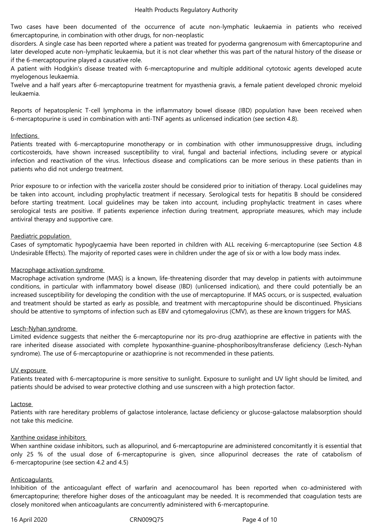Two cases have been documented of the occurrence of acute non-lymphatic leukaemia in patients who received 6mercaptopurine, in combination with other drugs, for non-neoplastic

disorders. A single case has been reported where a patient was treated for pyoderma gangrenosum with 6mercaptopurine and later developed acute non-lymphatic leukaemia, but it is not clear whether this was part of the natural history of the disease or if the 6-mercaptopurine played a causative role.

A patient with Hodgkin's disease treated with 6-mercaptopurine and multiple additional cytotoxic agents developed acute myelogenous leukaemia.

Twelve and a half years after 6-mercaptopurine treatment for myasthenia gravis, a female patient developed chronic myeloid leukaemia.

Reports of hepatosplenic T-cell lymphoma in the inflammatory bowel disease (IBD) population have been received when 6-mercaptopurine is used in combination with anti-TNF agents as unlicensed indication (see section 4.8).

#### Infections

Patients treated with 6-mercaptopurine monotherapy or in combination with other immunosuppressive drugs, including corticosteroids, have shown increased susceptibility to viral, fungal and bacterial infections, including severe or atypical infection and reactivation of the virus. Infectious disease and complications can be more serious in these patients than in patients who did not undergo treatment.

Prior exposure to or infection with the varicella zoster should be considered prior to initiation of therapy. Local guidelines may be taken into account, including prophylactic treatment if necessary. Serological tests for hepatitis B should be considered before starting treatment. Local guidelines may be taken into account, including prophylactic treatment in cases where serological tests are positive. If patients experience infection during treatment, appropriate measures, which may include antiviral therapy and supportive care.

#### Paediatric population

Cases of symptomatic hypoglycaemia have been reported in children with ALL receiving 6-mercaptopurine (see Section 4.8 Undesirable Effects). The majority of reported cases were in children under the age of six or with a low body mass index.

#### Macrophage activation syndrome

Macrophage activation syndrome (MAS) is a known, life-threatening disorder that may develop in patients with autoimmune conditions, in particular with inflammatory bowel disease (IBD) (unlicensed indication), and there could potentially be an increased susceptibility for developing the condition with the use of mercaptopurine. If MAS occurs, or is suspected, evaluation and treatment should be started as early as possible, and treatment with mercaptopurine should be discontinued. Physicians should be attentive to symptoms of infection such as EBV and cytomegalovirus (CMV), as these are known triggers for MAS.

#### Lesch-Nyhan syndrome

Limited evidence suggests that neither the 6-mercaptopurine nor its pro-drug azathioprine are effective in patients with the rare inherited disease associated with complete hypoxanthine-guanine-phosphoribosyltransferase deficiency (Lesch-Nyhan syndrome). The use of 6-mercaptopurine or azathioprine is not recommended in these patients.

#### UV exposure

Patients treated with 6-mercaptopurine is more sensitive to sunlight. Exposure to sunlight and UV light should be limited, and patients should be advised to wear protective clothing and use sunscreen with a high protection factor.

#### Lactose

Patients with rare hereditary problems of galactose intolerance, lactase deficiency or glucose-galactose malabsorption should not take this medicine.

#### Xanthine oxidase inhibitors

When xanthine oxidase inhibitors, such as allopurinol, and 6-mercaptopurine are administered concomitantly it is essential that only 25 % of the usual dose of 6-mercaptopurine is given, since allopurinol decreases the rate of catabolism of 6-mercaptopurine (see section 4.2 and 4.5)

#### Anticoagulants

Inhibition of the anticoagulant effect of warfarin and acenocoumarol has been reported when co-administered with 6mercaptopurine; therefore higher doses of the anticoagulant may be needed. It is recommended that coagulation tests are closely monitored when anticoagulants are concurrently administered with 6-mercaptopurine.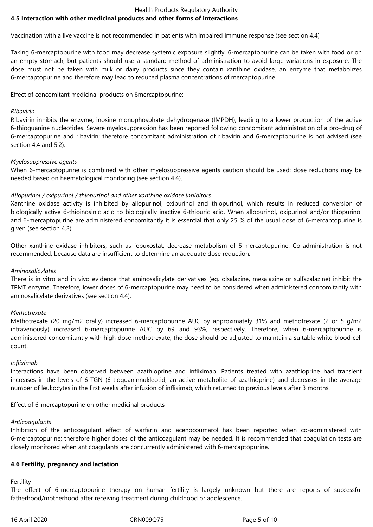#### Health Products Regulatory Authority **4.5 Interaction with other medicinal products and other forms of interactions**

Vaccination with a live vaccine is not recommended in patients with impaired immune response (see section 4.4)

Taking 6-mercaptopurine with food may decrease systemic exposure slightly. 6-mercaptopurine can be taken with food or on an empty stomach, but patients should use a standard method of administration to avoid large variations in exposure. The dose must not be taken with milk or dairy products since they contain xanthine oxidase, an enzyme that metabolizes 6-mercaptopurine and therefore may lead to reduced plasma concentrations of mercaptopurine.

Effect of concomitant medicinal products on 6mercaptopurine:

### *Ribavirin*

Ribavirin inhibits the enzyme, inosine monophosphate dehydrogenase (IMPDH), leading to a lower production of the active 6-thioguanine nucleotides. Severe myelosuppression has been reported following concomitant administration of a pro-drug of 6-mercaptopurine and ribavirin; therefore concomitant administration of ribavirin and 6-mercaptopurine is not advised (see section 4.4 and 5.2).

# *Myelosuppressive agents*

When 6-mercaptopurine is combined with other myelosuppressive agents caution should be used; dose reductions may be needed based on haematological monitoring (see section 4.4).

# *Allopurinol / oxipurinol / thiopurinol and other xanthine oxidase inhibitors*

Xanthine oxidase activity is inhibited by allopurinol, oxipurinol and thiopurinol, which results in reduced conversion of biologically active 6-thioinosinic acid to biologically inactive 6-thiouric acid. When allopurinol, oxipurinol and/or thiopurinol and 6-mercaptopurine are administered concomitantly it is essential that only 25 % of the usual dose of 6-mercaptopurine is given (see section 4.2).

Other xanthine oxidase inhibitors, such as febuxostat, decrease metabolism of 6-mercaptopurine. Co-administration is not recommended, because data are insufficient to determine an adequate dose reduction.

#### *Aminosalicylates*

There is in vitro and in vivo evidence that aminosalicylate derivatives (eg. olsalazine, mesalazine or sulfazalazine) inhibit the TPMT enzyme. Therefore, lower doses of 6-mercaptopurine may need to be considered when administered concomitantly with aminosalicylate derivatives (see section 4.4).

#### *Methotrexate*

Methotrexate (20 mg/m2 orally) increased 6-mercaptopurine AUC by approximately 31% and methotrexate (2 or 5 g/m2 intravenously) increased 6-mercaptopurine AUC by 69 and 93%, respectively. Therefore, when 6-mercaptopurine is administered concomitantly with high dose methotrexate, the dose should be adjusted to maintain a suitable white blood cell count.

#### *Infliximab*

Interactions have been observed between azathioprine and infliximab. Patients treated with azathioprine had transient increases in the levels of 6-TGN (6-tioguaninnukleotid, an active metabolite of azathioprine) and decreases in the average number of leukocytes in the first weeks after infusion of infliximab, which returned to previous levels after 3 months.

#### Effect of 6-mercaptopurine on other medicinal products

#### *Anticoagulants*

Inhibition of the anticoagulant effect of warfarin and acenocoumarol has been reported when co-administered with 6-mercaptopurine; therefore higher doses of the anticoagulant may be needed. It is recommended that coagulation tests are closely monitored when anticoagulants are concurrently administered with 6-mercaptopurine.

#### **4.6 Fertility, pregnancy and lactation**

# **Fertility**

The effect of 6-mercaptopurine therapy on human fertility is largely unknown but there are reports of successful fatherhood/motherhood after receiving treatment during childhood or adolescence.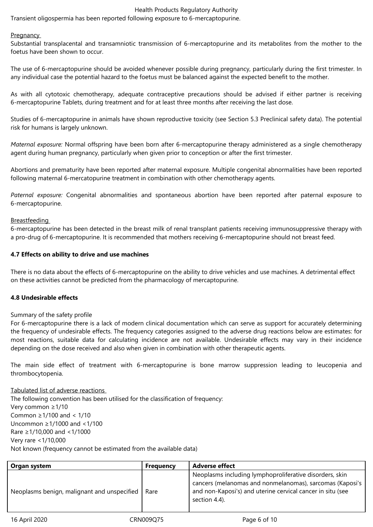#### Health Products Regulatory Authority

Transient oligospermia has been reported following exposure to 6-mercaptopurine.

#### **Pregnancy**

Substantial transplacental and transamniotic transmission of 6-mercaptopurine and its metabolites from the mother to the foetus have been shown to occur.

The use of 6-mercaptopurine should be avoided whenever possible during pregnancy, particularly during the first trimester. In any individual case the potential hazard to the foetus must be balanced against the expected benefit to the mother.

As with all cytotoxic chemotherapy, adequate contraceptive precautions should be advised if either partner is receiving 6-mercaptopurine Tablets, during treatment and for at least three months after receiving the last dose.

Studies of 6-mercaptopurine in animals have shown reproductive toxicity (see Section 5.3 Preclinical safety data). The potential risk for humans is largely unknown.

*Maternal exposure:* Normal offspring have been born after 6-mercaptopurine therapy administered as a single chemotherapy agent during human pregnancy, particularly when given prior to conception or after the first trimester.

Abortions and prematurity have been reported after maternal exposure. Multiple congenital abnormalities have been reported following maternal 6-mercatopurine treatment in combination with other chemotherapy agents.

*Paternal exposure:* Congenital abnormalities and spontaneous abortion have been reported after paternal exposure to 6-mercaptopurine.

#### **Breastfeeding**

6-mercaptopurine has been detected in the breast milk of renal transplant patients receiving immunosuppressive therapy with a pro-drug of 6-mercaptopurine. It is recommended that mothers receiving 6-mercaptopurine should not breast feed.

#### **4.7 Effects on ability to drive and use machines**

There is no data about the effects of 6-mercaptopurine on the ability to drive vehicles and use machines. A detrimental effect on these activities cannot be predicted from the pharmacology of mercaptopurine.

#### **4.8 Undesirable effects**

Summary of the safety profile

For 6-mercaptopurine there is a lack of modern clinical documentation which can serve as support for accurately determining the frequency of undesirable effects. The frequency categories assigned to the adverse drug reactions below are estimates: for most reactions, suitable data for calculating incidence are not available. Undesirable effects may vary in their incidence depending on the dose received and also when given in combination with other therapeutic agents.

The main side effect of treatment with 6-mercaptopurine is bone marrow suppression leading to leucopenia and thrombocytopenia.

#### Tabulated list of adverse reactions

The following convention has been utilised for the classification of frequency: Very common ≥1/10 Common ≥1/100 and < 1/10 Uncommon ≥1/1000 and <1/100 Rare ≥1/10,000 and <1/1000 Very rare <1/10,000 Not known (frequency cannot be estimated from the available data)

| Organ system                                | <b>Frequency</b> | <b>Adverse effect</b>                                                                                                                                                                              |
|---------------------------------------------|------------------|----------------------------------------------------------------------------------------------------------------------------------------------------------------------------------------------------|
| Neoplasms benign, malignant and unspecified | Rare             | Neoplasms including lymphoproliferative disorders, skin<br>cancers (melanomas and nonmelanomas), sarcomas (Kaposi's<br>and non-Kaposi's) and uterine cervical cancer in situ (see<br>section 4.4). |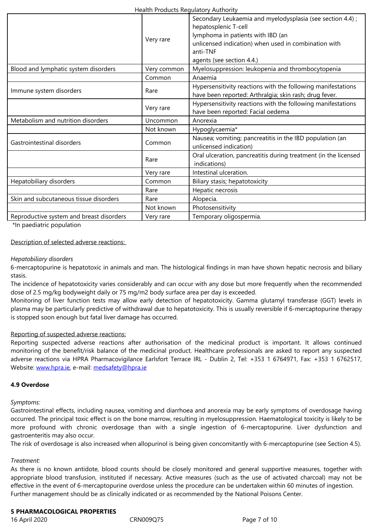|                                          | Very rare   | lymphoma in patients with IBD (an<br>unlicensed indication) when used in combination with<br>anti-TNF                  |
|------------------------------------------|-------------|------------------------------------------------------------------------------------------------------------------------|
|                                          |             | agents (see section 4.4.)                                                                                              |
| Blood and lymphatic system disorders     | Very common | Myelosuppression: leukopenia and thrombocytopenia                                                                      |
|                                          | Common      | Anaemia                                                                                                                |
| Immune system disorders                  | Rare        | Hypersensitivity reactions with the following manifestations<br>have been reported: Arthralgia; skin rash; drug fever. |
|                                          | Very rare   | Hypersensitivity reactions with the following manifestations<br>have been reported: Facial oedema                      |
| Metabolism and nutrition disorders       | Uncommon    | Anorexia                                                                                                               |
|                                          | Not known   | Hypoglycaemia*                                                                                                         |
| Gastrointestinal disorders               | Common      | Nausea; vomiting; pancreatitis in the IBD population (an<br>unlicensed indication)                                     |
|                                          | Rare        | Oral ulceration, pancreatitis during treatment (in the licensed<br>indications)                                        |
|                                          | Very rare   | Intestinal ulceration.                                                                                                 |
| Hepatobiliary disorders                  | Common      | Biliary stasis; hepatotoxicity                                                                                         |
|                                          | Rare        | Hepatic necrosis                                                                                                       |
| Skin and subcutaneous tissue disorders   | Rare        | Alopecia.                                                                                                              |
|                                          | Not known   | Photosensitivity                                                                                                       |
| Reproductive system and breast disorders | Very rare   | Temporary oligospermia.                                                                                                |

\*In paediatric population

#### Description of selected adverse reactions:

#### *Hepatobiliary disorders*

6-mercaptopurine is hepatotoxic in animals and man. The histological findings in man have shown hepatic necrosis and biliary stasis.

The incidence of hepatotoxicity varies considerably and can occur with any dose but more frequently when the recommended dose of 2.5 mg/kg bodyweight daily or 75 mg/m2 body surface area per day is exceeded.

Monitoring of liver function tests may allow early detection of hepatotoxicity. Gamma glutamyl transferase (GGT) levels in plasma may be particularly predictive of withdrawal due to hepatotoxicity. This is usually reversible if 6-mercaptopurine therapy is stopped soon enough but fatal liver damage has occurred.

#### Reporting of suspected adverse reactions:

Reporting suspected adverse reactions after authorisation of the medicinal product is important. It allows continued monitoring of the benefit/risk balance of the medicinal product. Healthcare professionals are asked to report any suspected adverse reactions via HPRA Pharmacovigilance Earlsfort Terrace IRL - Dublin 2, Tel: +353 1 6764971, Fax: +353 1 6762517, Website: www.hpra.ie, e-mail: medsafety@hpra.ie

#### **4.9 Overdose**

*Sympto[ms:](http://www.hpra.ie/)* 

Gastrointestinal effects, including nausea, vomiting and diarrhoea and anorexia may be early symptoms of overdosage having occurred. The principal toxic effect is on the bone marrow, resulting in myelosuppression*.* Haematological toxicity is likely to be more profound with chronic overdosage than with a single ingestion of 6-mercaptopurine. Liver dysfunction and gastroenteritis may also occur.

The risk of overdosage is also increased when allopurinol is being given concomitantly with 6-mercaptopurine (see Section 4.5).

#### *Treatment:*

As there is no known antidote, blood counts should be closely monitored and general supportive measures, together with appropriate blood transfusion, instituted if necessary. Active measures (such as the use of activated charcoal) may not be effective in the event of 6-mercaptopurine overdose unless the procedure can be undertaken within 60 minutes of ingestion. Further management should be as clinically indicated or as recommended by the National Poisons Center.

#### **5 PHARMACOLOGICAL PROPERTIES**

16 April 2020 CRN009Q75 Page 7 of 10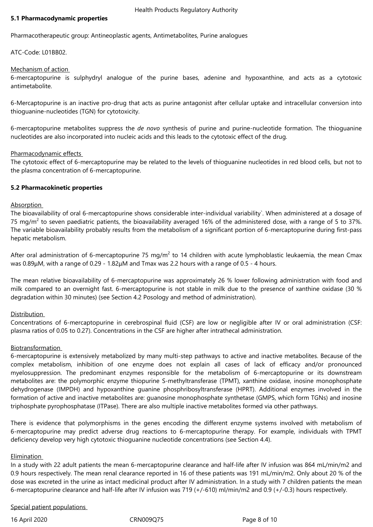#### **5.1 Pharmacodynamic properties**

Pharmacotherapeutic group: Antineoplastic agents, Antimetabolites, Purine analogues

ATC-Code: L01BB02.

### Mechanism of action

6-mercaptopurine is sulphydryl analogue of the purine bases, adenine and hypoxanthine, and acts as a cytotoxic antimetabolite.

6-Mercaptopurine is an inactive pro-drug that acts as purine antagonist after cellular uptake and intracellular conversion into thioguanine-nucleotides (TGN) for cytotoxicity.

6-mercaptopurine metabolites suppress the *de novo* synthesis of purine and purine-nucleotide formation. The thioguanine nucleotides are also incorporated into nucleic acids and this leads to the cytotoxic effect of the drug.

#### Pharmacodynamic effects

The cytotoxic effect of 6-mercaptopurine may be related to the levels of thioguanine nucleotides in red blood cells, but not to the plasma concentration of 6-mercaptopurine.

# **5.2 Pharmacokinetic properties**

#### Absorption

The bioavailability of oral 6-mercaptopurine shows considerable inter-individual variability`. When administered at a dosage of 75 mg/m $^2$  to seven paediatric patients, the bioavailability averaged 16% of the administered dose, with a range of 5 to 37%. The variable bioavailability probably results from the metabolism of a significant portion of 6-mercaptopurine during first-pass hepatic metabolism.

After oral administration of 6-mercaptopurine 75 mg/m<sup>2</sup> to 14 children with acute lymphoblastic leukaemia, the mean Cmax was 0.89μM, with a range of 0.29 - 1.82μM and Tmax was 2.2 hours with a range of 0.5 - 4 hours.

The mean relative bioavailability of 6-mercaptopurine was approximately 26 % lower following administration with food and milk compared to an overnight fast. 6-mercaptopurine is not stable in milk due to the presence of xanthine oxidase (30 % degradation within 30 minutes) (see Section 4.2 Posology and method of administration).

# Distribution

Concentrations of 6-mercaptopurine in cerebrospinal fluid (CSF) are low or negligible after IV or oral administration (CSF: plasma ratios of 0.05 to 0.27). Concentrations in the CSF are higher after intrathecal administration.

#### **Biotransformation**

6-mercaptopurine is extensively metabolized by many multi-step pathways to active and inactive metabolites. Because of the complex metabolism, inhibition of one enzyme does not explain all cases of lack of efficacy and/or pronounced myelosuppression. The predominant enzymes responsible for the metabolism of 6-mercaptopurine or its downstream metabolites are: the polymorphic enzyme thiopurine S-methyltransferase (TPMT), xanthine oxidase, inosine monophosphate dehydrogenase (IMPDH) and hypoxanthine guanine phosphribosyltransferase (HPRT). Additional enzymes involved in the formation of active and inactive metabolites are: guanosine monophosphate synthetase (GMPS, which form TGNs) and inosine triphosphate pyrophosphatase (ITPase). There are also multiple inactive metabolites formed via other pathways.

There is evidence that polymorphisms in the genes encoding the different enzyme systems involved with metabolism of 6-mercaptopurine may predict adverse drug reactions to 6-mercaptopurine therapy. For example, individuals with TPMT deficiency develop very high cytotoxic thioguanine nucleotide concentrations (see Section 4.4).

#### Elimination

In a study with 22 adult patients the mean 6-mercaptopurine clearance and half-life after IV infusion was 864 mL/min/m2 and 0.9 hours respectively. The mean renal clearance reported in 16 of these patients was 191 mL/min/m2. Only about 20 % of the dose was excreted in the urine as intact medicinal product after IV administration. In a study with 7 children patients the mean 6-mercaptopurine clearance and half-life after IV infusion was 719 (+/-610) ml/min/m2 and 0.9 (+/-0.3) hours respectively.

#### Special patient populations

16 April 2020 CRN009Q75 Page 8 of 10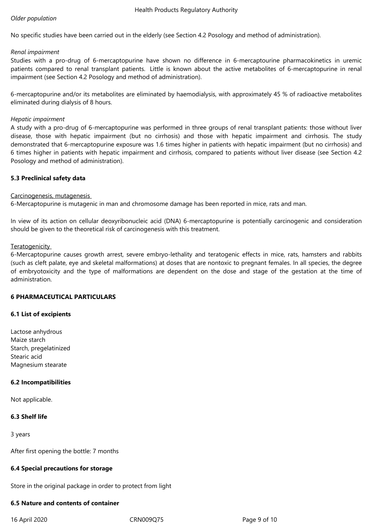#### *Older population*

No specific studies have been carried out in the elderly (see Section 4.2 Posology and method of administration).

#### *Renal impairment*

Studies with a pro-drug of 6-mercaptopurine have shown no difference in 6-mercaptourine pharmacokinetics in uremic patients compared to renal transplant patients. Little is known about the active metabolites of 6-mercaptopurine in renal impairment (see Section 4.2 Posology and method of administration).

6-mercaptopurine and/or its metabolites are eliminated by haemodialysis, with approximately 45 % of radioactive metabolites eliminated during dialysis of 8 hours.

### *Hepatic impairment*

A study with a pro-drug of 6-mercaptopurine was performed in three groups of renal transplant patients: those without liver disease, those with hepatic impairment (but no cirrhosis) and those with hepatic impairment and cirrhosis. The study demonstrated that 6-mercaptopurine exposure was 1.6 times higher in patients with hepatic impairment (but no cirrhosis) and 6 times higher in patients with hepatic impairment and cirrhosis, compared to patients without liver disease (see Section 4.2 Posology and method of administration).

# **5.3 Preclinical safety data**

# Carcinogenesis, mutagenesis

6-Mercaptopurine is mutagenic in man and chromosome damage has been reported in mice, rats and man.

In view of its action on cellular deoxyribonucleic acid (DNA) 6-mercaptopurine is potentially carcinogenic and consideration should be given to the theoretical risk of carcinogenesis with this treatment.

# **Teratogenicity**

6-Mercaptopurine causes growth arrest, severe embryo-lethality and teratogenic effects in mice, rats, hamsters and rabbits (such as cleft palate, eye and skeletal malformations) at doses that are nontoxic to pregnant females. In all species, the degree of embryotoxicity and the type of malformations are dependent on the dose and stage of the gestation at the time of administration.

# **6 PHARMACEUTICAL PARTICULARS**

# **6.1 List of excipients**

Lactose anhydrous Maize starch Starch, pregelatinized Stearic acid Magnesium stearate

# **6.2 Incompatibilities**

Not applicable.

# **6.3 Shelf life**

3 years

After first opening the bottle: 7 months

#### **6.4 Special precautions for storage**

Store in the original package in order to protect from light

# **6.5 Nature and contents of container**

16 April 2020 CRN009Q75 Page 9 of 10